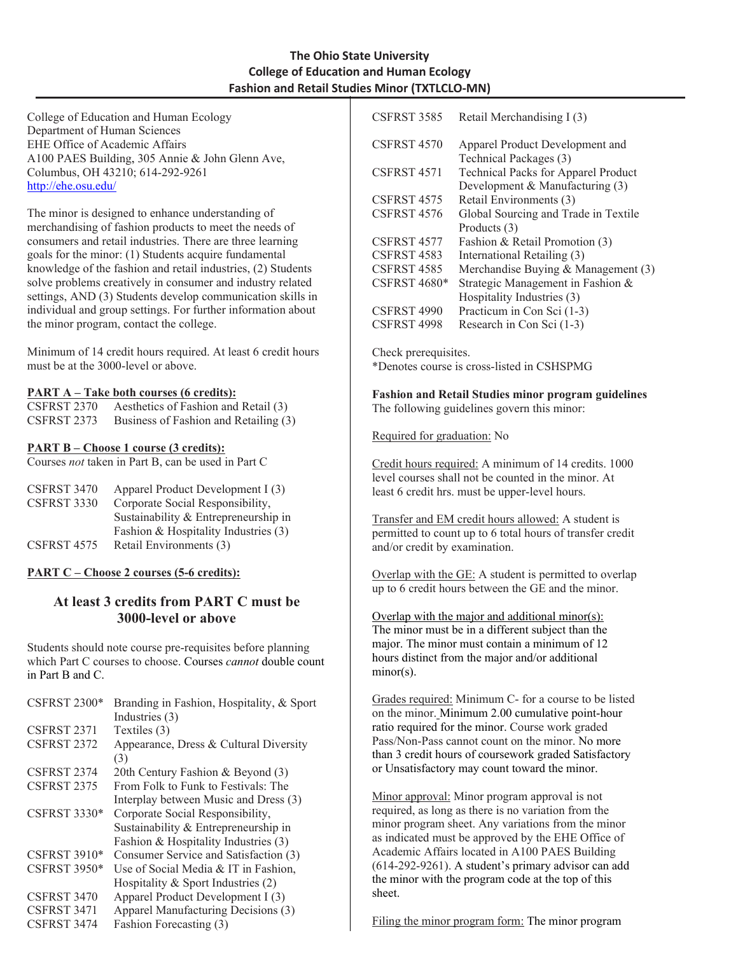## **The Ohio State University College of Education and Human Ecology Fashion and Retail Studies Minor (TXTLCLO-MN)**

College of Education and Human Ecology Department of Human Sciences EHE Office of Academic Affairs A100 PAES Building, 305 Annie & John Glenn Ave, Columbus, OH 43210; 614-292-9261 <http://ehe.osu.edu/>

The minor is designed to enhance understanding of merchandising of fashion products to meet the needs of consumers and retail industries. There are three learning goals for the minor: (1) Students acquire fundamental knowledge of the fashion and retail industries, (2) Students solve problems creatively in consumer and industry related settings, AND (3) Students develop communication skills in individual and group settings. For further information about the minor program, contact the college.

Minimum of 14 credit hours required. At least 6 credit hours must be at the 3000-level or above.

#### **PART A – Take both courses (6 credits):**

| CSFRST 2370 | Aesthetics of Fashion and Retail (3)  |
|-------------|---------------------------------------|
| CSFRST 2373 | Business of Fashion and Retailing (3) |

### **PART B – Choose 1 course (3 credits):**

Courses *not* taken in Part B, can be used in Part C

| CSFRST 3470        | Apparel Product Development I (3)    |
|--------------------|--------------------------------------|
| <b>CSFRST 3330</b> | Corporate Social Responsibility,     |
|                    | Sustainability & Entrepreneurship in |
|                    | Fashion & Hospitality Industries (3) |
| <b>CSFRST 4575</b> | Retail Environments (3)              |

### **PART C – Choose 2 courses (5-6 credits):**

# **At least 3 credits from PART C must be 3000-level or above**

Students should note course pre-requisites before planning which Part C courses to choose. Courses *cannot* double count in Part B and C.

| CSFRST $2300*$      | Branding in Fashion, Hospitality, & Sport |
|---------------------|-------------------------------------------|
|                     | Industries (3)                            |
| CSFRST 2371         | Textiles (3)                              |
| CSFRST 2372         | Appearance, Dress & Cultural Diversity    |
|                     | (3)                                       |
| CSFRST 2374         | 20th Century Fashion & Beyond (3)         |
| <b>CSFRST 2375</b>  | From Folk to Funk to Festivals: The       |
|                     | Interplay between Music and Dress (3)     |
| <b>CSFRST 3330*</b> | Corporate Social Responsibility,          |
|                     | Sustainability & Entrepreneurship in      |
|                     | Fashion & Hospitality Industries (3)      |
| CSFRST $3910*$      | Consumer Service and Satisfaction (3)     |
| <b>CSFRST 3950*</b> | Use of Social Media & IT in Fashion.      |
|                     | Hospitality $&$ Sport Industries $(2)$    |
| CSFRST 3470         | Apparel Product Development I (3)         |
| CSFRST 3471         | Apparel Manufacturing Decisions (3)       |
| CSFRST 3474         | Fashion Forecasting (3)                   |

| CSFRST 3585         | Retail Merchandising I (3)                 |
|---------------------|--------------------------------------------|
| CSFRST 4570         | Apparel Product Development and            |
|                     | Technical Packages (3)                     |
| CSFRST 4571         | <b>Technical Packs for Apparel Product</b> |
|                     | Development & Manufacturing (3)            |
| CSFRST 4575         | Retail Environments (3)                    |
| CSFRST 4576         | Global Sourcing and Trade in Textile       |
|                     | Products (3)                               |
| CSFRST 4577         | Fashion & Retail Promotion (3)             |
| CSFRST 4583         | International Retailing (3)                |
| CSFRST 4585         | Merchandise Buying & Management (3)        |
| <b>CSFRST 4680*</b> | Strategic Management in Fashion &          |
|                     | Hospitality Industries (3)                 |
| CSFRST 4990         | Practicum in Con Sci (1-3)                 |
| CSFRST 4998         | Research in Con Sci (1-3)                  |

Check prerequisites. \*Denotes course is cross-listed in CSHSPMG

**Fashion and Retail Studies minor program guidelines** The following guidelines govern this minor:

Required for graduation: No

Credit hours required: A minimum of 14 credits. 1000 level courses shall not be counted in the minor. At least 6 credit hrs. must be upper-level hours.

Transfer and EM credit hours allowed: A student is permitted to count up to 6 total hours of transfer credit and/or credit by examination.

Overlap with the GE: A student is permitted to overlap up to 6 credit hours between the GE and the minor.

Overlap with the major and additional minor(s): The minor must be in a different subject than the major. The minor must contain a minimum of 12 hours distinct from the major and/or additional minor(s).

Grades required: Minimum C- for a course to be listed on the minor. Minimum 2.00 cumulative point-hour ratio required for the minor. Course work graded Pass/Non-Pass cannot count on the minor. No more than 3 credit hours of coursework graded Satisfactory or Unsatisfactory may count toward the minor.

Minor approval: Minor program approval is not required, as long as there is no variation from the minor program sheet. Any variations from the minor as indicated must be approved by the EHE Office of Academic Affairs located in A100 PAES Building (614-292-9261). A student's primary advisor can add the minor with the program code at the top of this sheet.

Filing the minor program form: The minor program